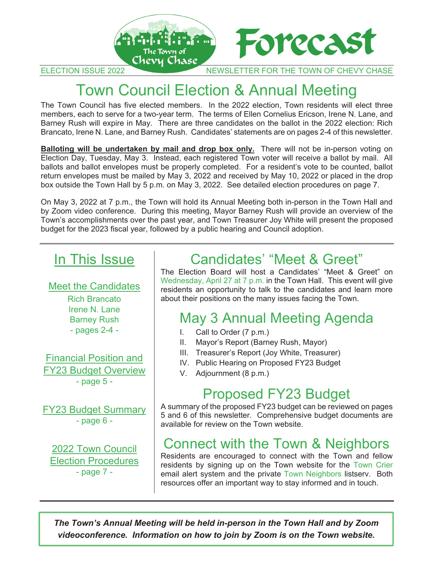

ELECTION ISSUE 2022 NEWSLETTER FOR THE TOWN OF CHEVY CHASE

# Town Council Election & Annual Meeting

The Town Council has five elected members. In the 2022 election, Town residents will elect three members, each to serve for a two-year term. The terms of Ellen Cornelius Ericson, Irene N. Lane, and Barney Rush will expire in May. There are three candidates on the ballot in the 2022 election: Rich Brancato, Irene N. Lane, and Barney Rush. Candidates' statements are on pages 2-4 of this newsletter.

**Balloting will be undertaken by mail and drop box only.** There will not be in-person voting on Election Day, Tuesday, May 3. Instead, each registered Town voter will receive a ballot by mail. All ballots and ballot envelopes must be properly completed. For a resident's vote to be counted, ballot return envelopes must be mailed by May 3, 2022 and received by May 10, 2022 or placed in the drop box outside the Town Hall by 5 p.m. on May 3, 2022. See detailed election procedures on page 7.

On May 3, 2022 at 7 p.m., the Town will hold its Annual Meeting both in-person in the Town Hall and by Zoom video conference. During this meeting, Mayor Barney Rush will provide an overview of the Town's accomplishments over the past year, and Town Treasurer Joy White will present the proposed budget for the 2023 fiscal year, followed by a public hearing and Council adoption.

# In This Issue

Meet the Candidates Rich Brancato Irene N. Lane Barney Rush - pages 2-4 -

Financial Position and FY23 Budget Overview - page 5 -

FY23 Budget Summary - page 6 -

2022 Town Council Election Procedures - page 7 -

# Candidates' "Meet & Greet"

The Election Board will host a Candidates' "Meet & Greet" on Wednesday, April 27 at 7 p.m. in the Town Hall. This event will give residents an opportunity to talk to the candidates and learn more about their positions on the many issues facing the Town.

# May 3 Annual Meeting Agenda

- I. Call to Order (7 p.m.)
- II. Mayor's Report (Barney Rush, Mayor)
- III. Treasurer's Report (Joy White, Treasurer)
- IV. Public Hearing on Proposed FY23 Budget
- V. Adjournment (8 p.m.)

## Proposed FY23 Budget

A summary of the proposed FY23 budget can be reviewed on pages 5 and 6 of this newsletter. Comprehensive budget documents are available for review on the Town website.

# Connect with the Town & Neighbors

Residents are encouraged to connect with the Town and fellow residents by signing up on the Town website for the Town Crier email alert system and the private Town Neighbors listserv. Both resources offer an important way to stay informed and in touch.

*The Town's Annual Meeting will be held in-person in the Town Hall and by Zoom videoconference. Information on how to join by Zoom is on the Town website.*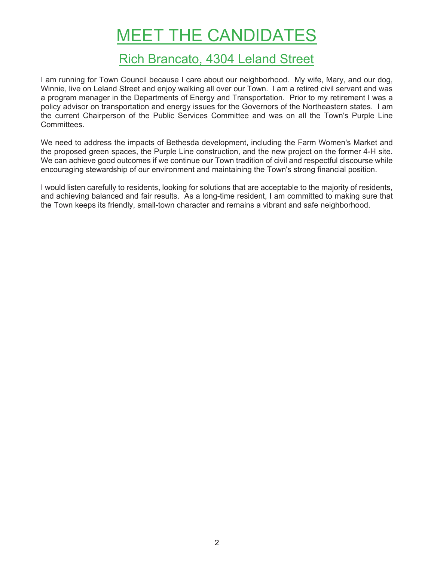# MEET THE CANDIDATES

### Rich Brancato, 4304 Leland Street

I am running for Town Council because I care about our neighborhood. My wife, Mary, and our dog, Winnie, live on Leland Street and enjoy walking all over our Town. I am a retired civil servant and was a program manager in the Departments of Energy and Transportation. Prior to my retirement I was a policy advisor on transportation and energy issues for the Governors of the Northeastern states. I am the current Chairperson of the Public Services Committee and was on all the Town's Purple Line Committees.

We need to address the impacts of Bethesda development, including the Farm Women's Market and the proposed green spaces, the Purple Line construction, and the new project on the former 4-H site. We can achieve good outcomes if we continue our Town tradition of civil and respectful discourse while encouraging stewardship of our environment and maintaining the Town's strong financial position.

I would listen carefully to residents, looking for solutions that are acceptable to the majority of residents, and achieving balanced and fair results. As a long-time resident, I am committed to making sure that the Town keeps its friendly, small-town character and remains a vibrant and safe neighborhood.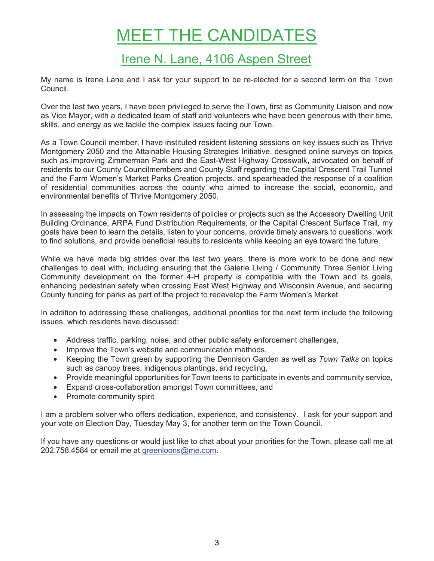# MEET THE CANDIDATES

## Irene N. Lane, 4106 Aspen Street

My name is Irene Lane and I ask for your support to be re-elected for a second term on the Town Council.

Over the last two years, I have been privileged to serve the Town, first as Community Liaison and now as Vice Mayor, with a dedicated team of staff and volunteers who have been generous with their time, skills, and energy as we tackle the complex issues facing our Town.

As a Town Council member, I have instituted resident listening sessions on key issues such as Thrive Montgomery 2050 and the Attainable Housing Strategies Initiative, designed online surveys on topics such as improving Zimmerman Park and the East-West Highway Crosswalk, advocated on behalf of residents to our County Councilmembers and County Staff regarding the Capital Crescent Trail Tunnel and the Farm Women's Market Parks Creation projects, and spearheaded the response of a coalition of residential communities across the county who aimed to increase the social, economic, and environmental benefits of Thrive Montgomery 2050.

In assessing the impacts on Town residents of policies or projects such as the Accessory Dwelling Unit Building Ordinance, ARPA Fund Distribution Requirements, or the Capital Crescent Surface Trail, my goals have been to learn the details, listen to your concerns, provide timely answers to questions, work to find solutions, and provide beneficial results to residents while keeping an eye toward the future.

While we have made big strides over the last two years, there is more work to be done and new challenges to deal with, including ensuring that the Galerie Living / Community Three Senior Living Community development on the former 4-H property is compatible with the Town and its goals, enhancing pedestrian safety when crossing East West Highway and Wisconsin Avenue, and securing County funding for parks as part of the project to redevelop the Farm Women's Market.

In addition to addressing these challenges, additional priorities for the next term include the following issues, which residents have discussed:

- Address traffic, parking, noise, and other public safety enforcement challenges,
- Improve the Town's website and communication methods,
- Keeping the Town green by supporting the Dennison Garden as well as *Town Talks* on topics such as canopy trees, indigenous plantings, and recycling,
- Provide meaningful opportunities for Town teens to participate in events and community service,
- Expand cross-collaboration amongst Town committees, and
- Promote community spirit

I am a problem solver who offers dedication, experience, and consistency. I ask for your support and your vote on Election Day, Tuesday May 3, for another term on the Town Council.

If you have any questions or would just like to chat about your priorities for the Town, please call me at 202.758.4584 or email me at greenloons@me.com.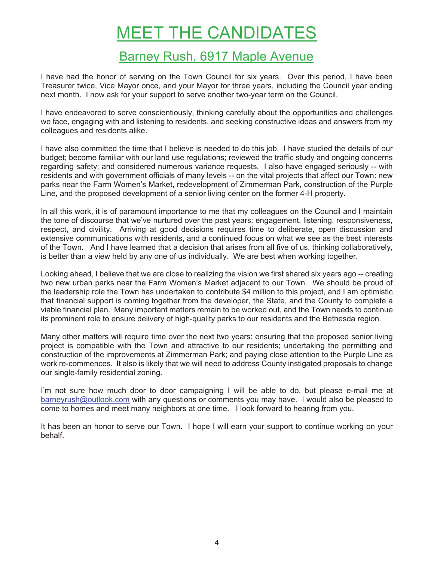# MEET THE CANDIDATES

## Barney Rush, 6917 Maple Avenue

I have had the honor of serving on the Town Council for six years. Over this period, I have been Treasurer twice, Vice Mayor once, and your Mayor for three years, including the Council year ending next month. I now ask for your support to serve another two-year term on the Council.

I have endeavored to serve conscientiously, thinking carefully about the opportunities and challenges we face, engaging with and listening to residents, and seeking constructive ideas and answers from my colleagues and residents alike.

I have also committed the time that I believe is needed to do this job. I have studied the details of our budget; become familiar with our land use regulations; reviewed the traffic study and ongoing concerns regarding safety; and considered numerous variance requests. I also have engaged seriously -- with residents and with government officials of many levels -- on the vital projects that affect our Town: new parks near the Farm Women's Market, redevelopment of Zimmerman Park, construction of the Purple Line, and the proposed development of a senior living center on the former 4-H property.

In all this work, it is of paramount importance to me that my colleagues on the Council and I maintain the tone of discourse that we've nurtured over the past years: engagement, listening, responsiveness, respect, and civility. Arriving at good decisions requires time to deliberate, open discussion and extensive communications with residents, and a continued focus on what we see as the best interests of the Town. And I have learned that a decision that arises from all five of us, thinking collaboratively, is better than a view held by any one of us individually. We are best when working together.

Looking ahead, I believe that we are close to realizing the vision we first shared six years ago -- creating two new urban parks near the Farm Women's Market adjacent to our Town. We should be proud of the leadership role the Town has undertaken to contribute \$4 million to this project, and I am optimistic that financial support is coming together from the developer, the State, and the County to complete a viable financial plan. Many important matters remain to be worked out, and the Town needs to continue its prominent role to ensure delivery of high-quality parks to our residents and the Bethesda region.

Many other matters will require time over the next two years: ensuring that the proposed senior living project is compatible with the Town and attractive to our residents; undertaking the permitting and construction of the improvements at Zimmerman Park; and paying close attention to the Purple Line as work re-commences. It also is likely that we will need to address County instigated proposals to change our single-family residential zoning.

I'm not sure how much door to door campaigning I will be able to do, but please e-mail me at barneyrush@outlook.com with any questions or comments you may have. I would also be pleased to come to homes and meet many neighbors at one time. I look forward to hearing from you.

It has been an honor to serve our Town. I hope I will earn your support to continue working on your behalf.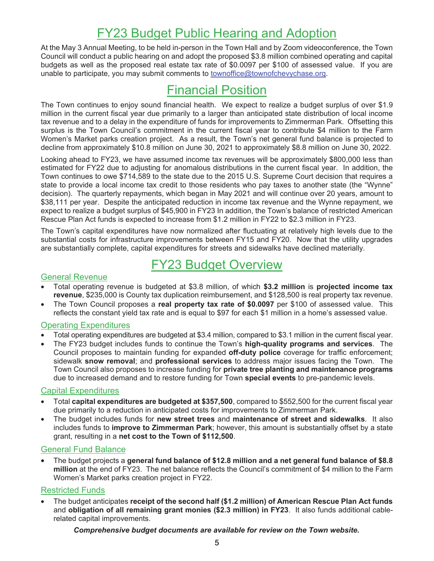## FY23 Budget Public Hearing and Adoption

At the May 3 Annual Meeting, to be held in-person in the Town Hall and by Zoom videoconference, the Town Council will conduct a public hearing on and adopt the proposed \$3.8 million combined operating and capital budgets as well as the proposed real estate tax rate of \$0.0097 per \$100 of assessed value. If you are unable to participate, you may submit comments to townoffice@townofchevychase.org.

## Financial Position

The Town continues to enjoy sound financial health. We expect to realize a budget surplus of over \$1.9 million in the current fiscal year due primarily to a larger than anticipated state distribution of local income tax revenue and to a delay in the expenditure of funds for improvements to Zimmerman Park. Offsetting this surplus is the Town Council's commitment in the current fiscal year to contribute \$4 million to the Farm Women's Market parks creation project. As a result, the Town's net general fund balance is projected to decline from approximately \$10.8 million on June 30, 2021 to approximately \$8.8 million on June 30, 2022.

Looking ahead to FY23, we have assumed income tax revenues will be approximately \$800,000 less than estimated for FY22 due to adjusting for anomalous distributions in the current fiscal year. In addition, the Town continues to owe \$714,589 to the state due to the 2015 U.S. Supreme Court decision that requires a state to provide a local income tax credit to those residents who pay taxes to another state (the "Wynne" decision). The quarterly repayments, which began in May 2021 and will continue over 20 years, amount to \$38,111 per year. Despite the anticipated reduction in income tax revenue and the Wynne repayment, we expect to realize a budget surplus of \$45,900 in FY23 In addition, the Town's balance of restricted American Rescue Plan Act funds is expected to increase from \$1.2 million in FY22 to \$2.3 million in FY23.

The Town's capital expenditures have now normalized after fluctuating at relatively high levels due to the substantial costs for infrastructure improvements between FY15 and FY20. Now that the utility upgrades are substantially complete, capital expenditures for streets and sidewalks have declined materially.

## FY23 Budget Overview

#### General Revenue

- Total operating revenue is budgeted at \$3.8 million, of which **\$3.2 million** is **projected income tax revenue**, \$235,000 is County tax duplication reimbursement, and \$128,500 is real property tax revenue.
- The Town Council proposes a **real property tax rate of \$0.0097** per \$100 of assessed value. This reflects the constant yield tax rate and is equal to \$97 for each \$1 million in a home's assessed value.

#### Operating Expenditures

- Total operating expenditures are budgeted at \$3.4 million, compared to \$3.1 million in the current fiscal year.
- The FY23 budget includes funds to continue the Town's **high-quality programs and services**. The Council proposes to maintain funding for expanded **off-duty police** coverage for traffic enforcement; sidewalk **snow removal**; and **professional services** to address major issues facing the Town. The Town Council also proposes to increase funding for **private tree planting and maintenance programs** due to increased demand and to restore funding for Town **special events** to pre-pandemic levels.

#### Capital Expenditures

- Total **capital expenditures are budgeted at \$357,500**, compared to \$552,500 for the current fiscal year due primarily to a reduction in anticipated costs for improvements to Zimmerman Park.
- The budget includes funds for **new street trees** and **maintenance of street and sidewalks**. It also includes funds to **improve to Zimmerman Park**; however, this amount is substantially offset by a state grant, resulting in a **net cost to the Town of \$112,500**.

#### General Fund Balance

• The budget projects a **general fund balance of \$12.8 million and a net general fund balance of \$8.8 million** at the end of FY23. The net balance reflects the Council's commitment of \$4 million to the Farm Women's Market parks creation project in FY22.

#### Restricted Funds

• The budget anticipates **receipt of the second half (\$1.2 million) of American Rescue Plan Act funds** and **obligation of all remaining grant monies (\$2.3 million) in FY23**. It also funds additional cablerelated capital improvements.

*Comprehensive budget documents are available for review on the Town website.*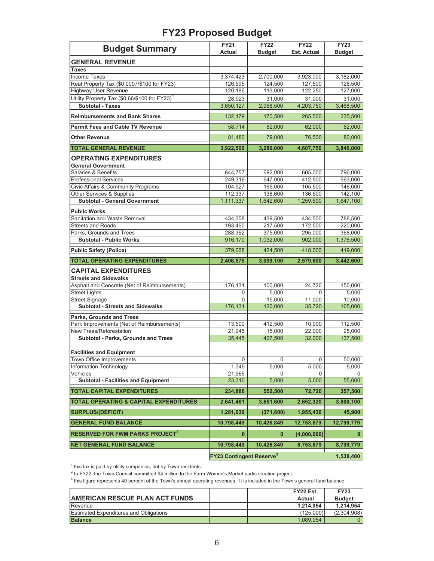### **FY23 Proposed Budget**

| <b>Budget Summary</b>                                                                | <b>FY21</b>                                | <b>FY22</b>   | <b>FY22</b>        | <b>FY23</b>   |
|--------------------------------------------------------------------------------------|--------------------------------------------|---------------|--------------------|---------------|
|                                                                                      | <b>Actual</b>                              | <b>Budget</b> | <b>Est. Actual</b> | <b>Budget</b> |
| <b>GENERAL REVENUE</b>                                                               |                                            |               |                    |               |
| <b>Taxes</b>                                                                         |                                            |               |                    |               |
| <b>Income Taxes</b>                                                                  | 3,374,423                                  | 2,700,000     | 3,923,000          | 3,182,000     |
| Real Property Tax (\$0.0097/\$100 for FY23)                                          | 126,595                                    | 124,500       | 127,500            | 128,500       |
| <b>Highway User Revenue</b>                                                          | 120,186                                    | 113,000       | 122,250            | 127,000       |
| Utility Property Tax (\$0.66/\$100 for FY23) <sup>1</sup><br><b>Subtotal - Taxes</b> | 28,923                                     | 31,000        | 31,000             | 31,000        |
|                                                                                      | 3,650,127                                  | 2,968,500     | 4,203,750          | 3,468,500     |
| <b>Reimbursements and Bank Shares</b>                                                | 132,179                                    | 170,500       | 265,500            | 235,500       |
| <b>Permit Fees and Cable TV Revenue</b>                                              | 58.714                                     | 62,000        | 62,000             | 62,000        |
| <b>Other Revenue</b>                                                                 | 81,480                                     | 79,000        | 76.500             | 80,000        |
| <b>TOTAL GENERAL REVENUE</b>                                                         | 3,922,500                                  | 3,280,000     | 4,607,750          | 3,846,000     |
| <b>OPERATING EXPENDITURES</b>                                                        |                                            |               |                    |               |
| <b>General Government</b>                                                            |                                            |               |                    |               |
| Salaries & Benefits                                                                  | 644,757                                    | 692,000       | 605,000            | 796,000       |
| <b>Professional Services</b>                                                         | 249,316                                    | 647,000       | 412,500            | 563,000       |
| <b>Civic Affairs &amp; Community Programs</b>                                        | 104,927                                    | 165,000       | 105,500            | 146,000       |
| Other Services & Supplies                                                            | 112,337                                    | 138,600       | 136,600            | 142,100       |
| <b>Subtotal - General Government</b>                                                 | 1,111,337                                  | 1,642,600     | 1,259,600          | 1,647,100     |
| <b>Public Works</b>                                                                  |                                            |               |                    |               |
| Sanitation and Waste Removal                                                         | 434,358                                    | 439,500       | 434,500            | 788,500       |
| <b>Streets and Roads</b>                                                             | 193,450                                    | 217,500       | 172,500            | 220,000       |
| Parks, Grounds and Trees                                                             | 288,362                                    | 375,000       | 295,000            | 368,000       |
| <b>Subtotal - Public Works</b>                                                       | 916,170                                    | 1,032,000     | 902,000            | 1,376,500     |
| <b>Public Safety (Police)</b>                                                        | 379,068                                    | 424,500       | 418,000            | 419,000       |
| <b>TOTAL OPERATING EXPENDITURES</b>                                                  | 2,406,575                                  | 3,099,100     | 2,579,600          | 3,442,600     |
| <b>CAPITAL EXPENDITURES</b>                                                          |                                            |               |                    |               |
| <b>Streets and Sidewalks</b>                                                         |                                            |               |                    |               |
| Asphalt and Concrete (Net of Reimbursements)                                         | 176,131                                    | 100,000       | 24.720             | 150,000       |
| <b>Street Lights</b>                                                                 | 0                                          | 5,000         | 0                  | 5,000         |
| <b>Street Signage</b>                                                                | $\Omega$                                   | 15,000        | 11,000             | 10,000        |
| <b>Subtotal - Streets and Sidewalks</b>                                              | 176,131                                    | 120,000       | 35,720             | 165,000       |
| <b>Parks, Grounds and Trees</b>                                                      |                                            |               |                    |               |
| Park Improvements (Net of Reimbursements)                                            | 13,500                                     | 412,500       | 10,000             | 112,500       |
| New Trees/Reforestation                                                              | 21,945                                     | 15,000        | 22.000             | 25.000        |
| Subtotal - Parks, Grounds and Trees                                                  | 35,445                                     | 427,500       | 32,000             | 137,500       |
|                                                                                      |                                            |               |                    |               |
| <b>Facilities and Equipment</b><br>Town Office Improvements                          | 0                                          | $\mathsf 0$   | 0                  | 50,000        |
| Information Technology                                                               | 1,345                                      | 5,000         | 5,000              | 5,000         |
| Vehicles                                                                             | 21,965                                     | 0             | 0                  | 0             |
| <b>Subtotal - Facilities and Equipment</b>                                           | 23,310                                     | 5,000         | 5,000              | 55,000        |
| <b>TOTAL CAPITAL EXPENDITURES</b>                                                    | 234,886                                    | 552,500       | 72,720             | 357,500       |
| TOTAL OPERATING & CAPITAL EXPENDITURES                                               | 2,641,461                                  | 3,651,600     | 2,652,320          | 3,800,100     |
| <b>SURPLUS/(DEFICIT)</b>                                                             | 1,281,039                                  | (371, 600)    | 1,955,430          | 45,900        |
| <b>GENERAL FUND BALANCE</b>                                                          | 10,798,449                                 | 10,426,849    | 12,753,879         | 12,799,779    |
| <b>RESERVED FOR FWM PARKS PROJECT<sup>2</sup></b>                                    | $\mathbf{0}$                               | $\mathbf{0}$  | (4,000,000)        | $\bf{0}$      |
| <b>NET GENERAL FUND BALANCE</b>                                                      | 10,798,449                                 | 10,426,849    | 8,753,879          | 8,799,779     |
|                                                                                      | <b>FY23 Contingent Reserve<sup>3</sup></b> |               |                    |               |
|                                                                                      |                                            |               | 1,538,400          |               |

<sup>1</sup> this tax is paid by utility companies, not by Town residents.<br><sup>2</sup> In FY22, the Town Council committed \$4 million to the Farm Women's Market parks creation project.<br><sup>3</sup> this figure represents 40 percent of the Town's an

|                                               |  | FY22 Est. | <b>FY23</b>   |
|-----------------------------------------------|--|-----------|---------------|
| <b>AMERICAN RESCUE PLAN ACT FUNDS</b>         |  | Actual    | <b>Budget</b> |
| Revenue                                       |  | 1.214.954 | 1.214.954     |
| <b>Estimated Expenditures and Obligations</b> |  | (125.000) | (2.304.908)   |
| <b>Balance</b>                                |  | 1.089.954 |               |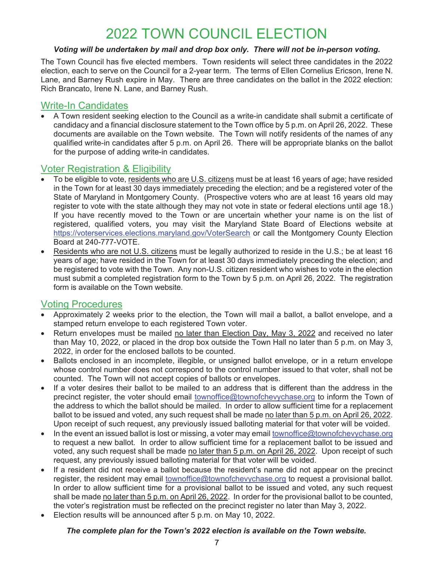# 2022 TOWN COUNCIL ELECTION

#### *Voting will be undertaken by mail and drop box only. There will not be in-person voting.*

The Town Council has five elected members. Town residents will select three candidates in the 2022 election, each to serve on the Council for a 2-year term. The terms of Ellen Cornelius Ericson, Irene N. Lane, and Barney Rush expire in May. There are three candidates on the ballot in the 2022 election: Rich Brancato, Irene N. Lane, and Barney Rush.

#### Write-In Candidates

• A Town resident seeking election to the Council as a write-in candidate shall submit a certificate of candidacy and a financial disclosure statement to the Town office by 5 p.m. on April 26, 2022. These documents are available on the Town website. The Town will notify residents of the names of any qualified write-in candidates after 5 p.m. on April 26. There will be appropriate blanks on the ballot for the purpose of adding write-in candidates.

#### Voter Registration & Eligibility

- To be eligible to vote, residents who are U.S. citizens must be at least 16 years of age; have resided in the Town for at least 30 days immediately preceding the election; and be a registered voter of the State of Maryland in Montgomery County. (Prospective voters who are at least 16 years old may register to vote with the state although they may not vote in state or federal elections until age 18.) If you have recently moved to the Town or are uncertain whether your name is on the list of registered, qualified voters, you may visit the Maryland State Board of Elections website at https://voterservices.elections.maryland.gov/VoterSearch or call the Montgomery County Election Board at 240-777-VOTE.
- Residents who are not U.S. citizens must be legally authorized to reside in the U.S.; be at least 16 years of age; have resided in the Town for at least 30 days immediately preceding the election; and be registered to vote with the Town. Any non-U.S. citizen resident who wishes to vote in the election must submit a completed registration form to the Town by 5 p.m. on April 26, 2022. The registration form is available on the Town website.

#### Voting Procedures

- Approximately 2 weeks prior to the election, the Town will mail a ballot, a ballot envelope, and a stamped return envelope to each registered Town voter.
- Return envelopes must be mailed no later than Election Day, May 3, 2022 and received no later than May 10, 2022, or placed in the drop box outside the Town Hall no later than 5 p.m. on May 3, 2022, in order for the enclosed ballots to be counted.
- Ballots enclosed in an incomplete, illegible, or unsigned ballot envelope, or in a return envelope whose control number does not correspond to the control number issued to that voter, shall not be counted. The Town will not accept copies of ballots or envelopes.
- If a voter desires their ballot to be mailed to an address that is different than the address in the precinct register, the voter should email townoffice@townofchevychase.org to inform the Town of the address to which the ballot should be mailed. In order to allow sufficient time for a replacement ballot to be issued and voted, any such request shall be made no later than 5 p.m. on April 26, 2022. Upon receipt of such request, any previously issued balloting material for that voter will be voided.
- In the event an issued ballot is lost or missing, a voter may email townoffice@townofchevychase.org to request a new ballot. In order to allow sufficient time for a replacement ballot to be issued and voted, any such request shall be made no later than 5 p.m. on April 26, 2022. Upon receipt of such request, any previously issued balloting material for that voter will be voided.
- If a resident did not receive a ballot because the resident's name did not appear on the precinct register, the resident may email townoffice@townofchevychase.org to request a provisional ballot. In order to allow sufficient time for a provisional ballot to be issued and voted, any such request shall be made no later than 5 p.m. on April 26, 2022. In order for the provisional ballot to be counted, the voter's registration must be reflected on the precinct register no later than May 3, 2022.
- Election results will be announced after 5 p.m. on May 10, 2022.

#### *The complete plan for the Town's 2022 election is available on the Town website.*